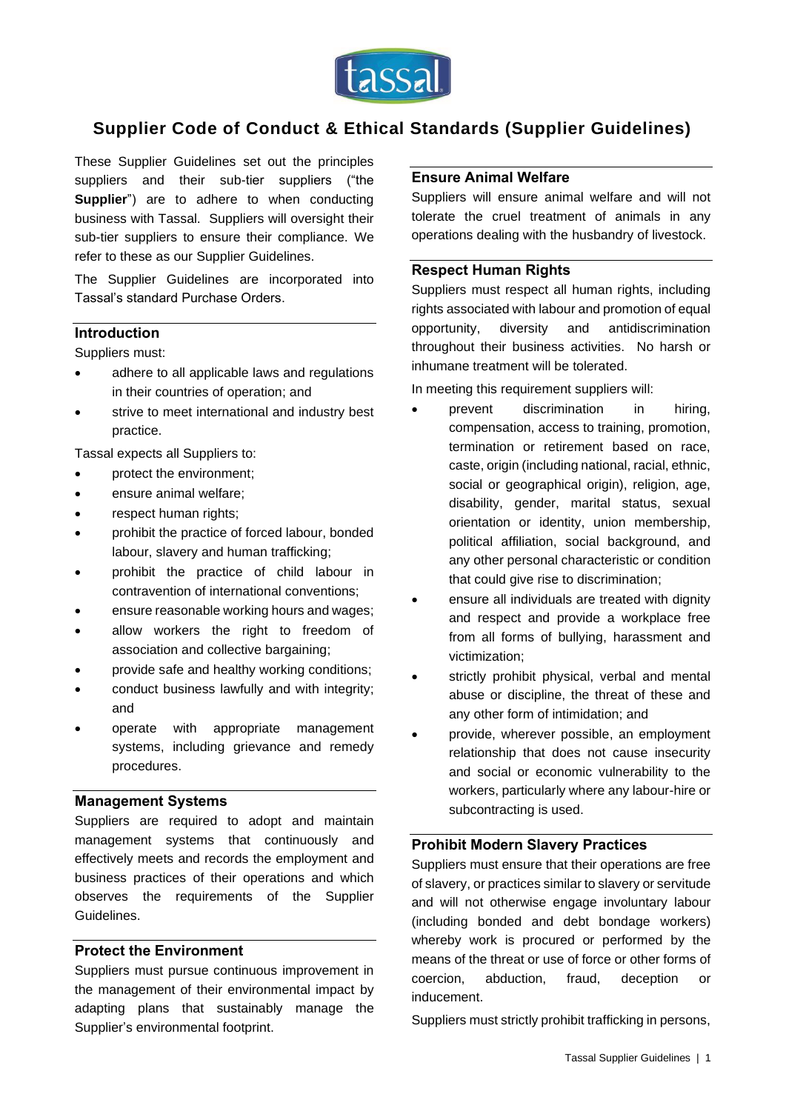

# **Supplier Code of Conduct & Ethical Standards (Supplier Guidelines)**

These Supplier Guidelines set out the principles suppliers and their sub-tier suppliers ("the **Supplier**") are to adhere to when conducting business with Tassal. Suppliers will oversight their sub-tier suppliers to ensure their compliance. We refer to these as our Supplier Guidelines.

The Supplier Guidelines are incorporated into Tassal's standard Purchase Orders.

# **Introduction**

Suppliers must:

- adhere to all applicable laws and regulations in their countries of operation; and
- strive to meet international and industry best practice.

Tassal expects all Suppliers to:

- protect the environment:
- ensure animal welfare;
- respect human rights;
- prohibit the practice of forced labour, bonded labour, slavery and human trafficking;
- prohibit the practice of child labour in contravention of international conventions;
- ensure reasonable working hours and wages;
- allow workers the right to freedom of association and collective bargaining;
- provide safe and healthy working conditions;
- conduct business lawfully and with integrity; and
- operate with appropriate management systems, including grievance and remedy procedures.

#### **Management Systems**

Suppliers are required to adopt and maintain management systems that continuously and effectively meets and records the employment and business practices of their operations and which observes the requirements of the Supplier Guidelines.

#### **Protect the Environment**

Suppliers must pursue continuous improvement in the management of their environmental impact by adapting plans that sustainably manage the Supplier's environmental footprint.

#### **Ensure Animal Welfare**

Suppliers will ensure animal welfare and will not tolerate the cruel treatment of animals in any operations dealing with the husbandry of livestock.

#### **Respect Human Rights**

Suppliers must respect all human rights, including rights associated with labour and promotion of equal opportunity, diversity and antidiscrimination throughout their business activities. No harsh or inhumane treatment will be tolerated.

In meeting this requirement suppliers will:

- prevent discrimination in hiring, compensation, access to training, promotion, termination or retirement based on race, caste, origin (including national, racial, ethnic, social or geographical origin), religion, age, disability, gender, marital status, sexual orientation or identity, union membership, political affiliation, social background, and any other personal characteristic or condition that could give rise to discrimination;
- ensure all individuals are treated with dignity and respect and provide a workplace free from all forms of bullying, harassment and victimization;
- strictly prohibit physical, verbal and mental abuse or discipline, the threat of these and any other form of intimidation; and
- provide, wherever possible, an employment relationship that does not cause insecurity and social or economic vulnerability to the workers, particularly where any labour-hire or subcontracting is used.

# **Prohibit Modern Slavery Practices**

Suppliers must ensure that their operations are free of slavery, or practices similar to slavery or servitude and will not otherwise engage involuntary labour (including bonded and debt bondage workers) whereby work is procured or performed by the means of the threat or use of force or other forms of coercion, abduction, fraud, deception or inducement.

Suppliers must strictly prohibit trafficking in persons,